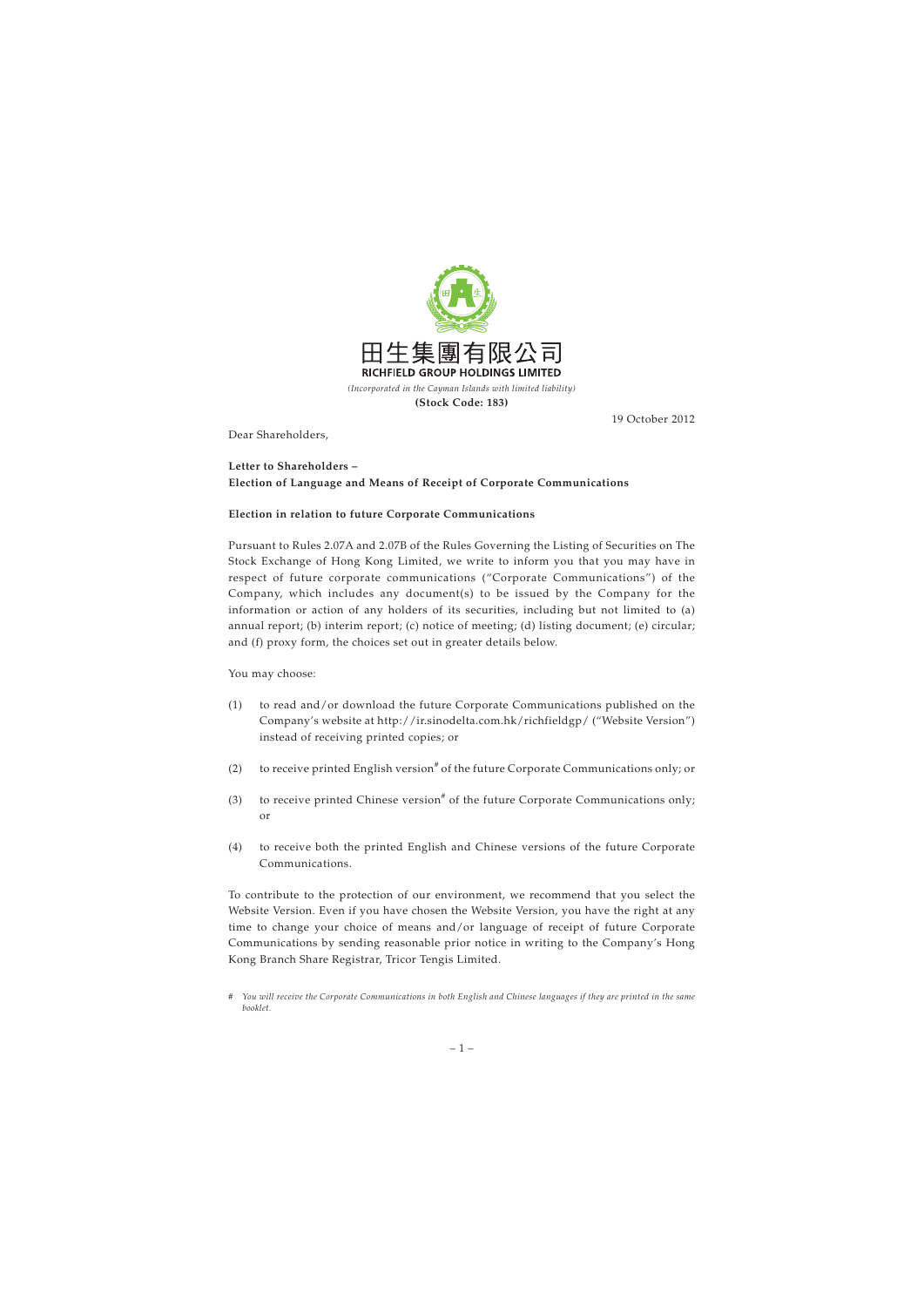

19 October 2012

Dear Shareholders,

## **Letter to Shareholders – Election of Language and Means of Receipt of Corporate Communications**

## **Election in relation to future Corporate Communications**

Pursuant to Rules 2.07A and 2.07B of the Rules Governing the Listing of Securities on The Stock Exchange of Hong Kong Limited, we write to inform you that you may have in respect of future corporate communications ("Corporate Communications") of the Company, which includes any document(s) to be issued by the Company for the information or action of any holders of its securities, including but not limited to (a) annual report; (b) interim report; (c) notice of meeting; (d) listing document; (e) circular; and (f) proxy form, the choices set out in greater details below.

You may choose:

- (1) to read and/or download the future Corporate Communications published on the Company's website at http://ir.sinodelta.com.hk/richfieldgp/ ("Website Version") instead of receiving printed copies; or
- (2) to receive printed English version<sup>#</sup> of the future Corporate Communications only; or
- (3) to receive printed Chinese version<sup>#</sup> of the future Corporate Communications only; or
- (4) to receive both the printed English and Chinese versions of the future Corporate Communications.

To contribute to the protection of our environment, we recommend that you select the Website Version. Even if you have chosen the Website Version, you have the right at any time to change your choice of means and/or language of receipt of future Corporate Communications by sending reasonable prior notice in writing to the Company's Hong Kong Branch Share Registrar, Tricor Tengis Limited.

*<sup>#</sup> You will receive the Corporate Communications in both English and Chinese languages if they are printed in the same booklet.*